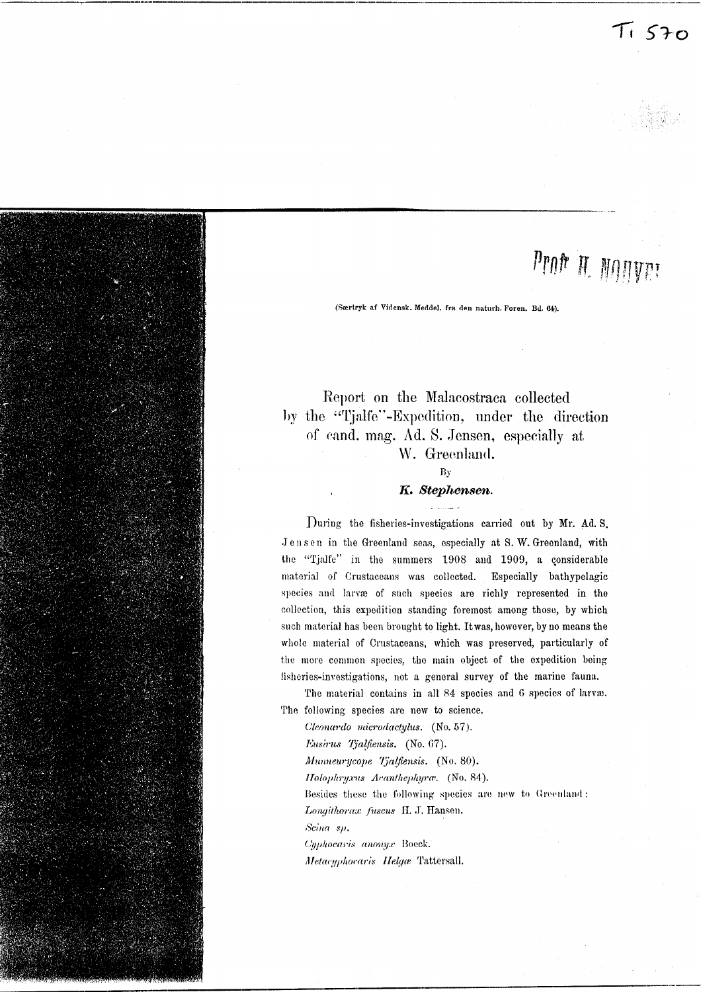

# Prof H. MONVET

(Særtryk af Vidensk. Meddel, fra den naturh. Foren. Bd. 64).

# Report on the Malacostraca collected by the "Tjalfe"-Expedition, under the direction of cand. mag. Ad. S. Jensen, especially at W. Greenland.

# $\overline{B}y$

# K. Stephensen.

During the fisheries-investigations carried out by Mr. Ad. S. Jensen in the Greenland seas, especially at S. W. Greenland, with the "Tjalfe" in the summers 1908 and 1909, a considerable material of Crustaceans was collected. Especially bathypelagic species and larvæ of such species are richly represented in the collection, this expedition standing foremost among those, by which such material has been brought to light. It was, however, by no means the whole material of Crustaceans, which was preserved, particularly of the more common species, the main object of the expedition being fisheries-investigations, not a general survey of the marine fauna.

The material contains in all 84 species and 6 species of larvæ. The following species are new to science.

Cleonardo microdactylus. (No. 57).

Eusirus Tjalfiensis. (No. 67).

Munneurycope Tjalfiensis. (No. 80).

Holophryxus Acanthephyra. (No. 84).

Besides these the following species are new to Greenland: Longithorax fuscus H. J. Hansen.

Scina sp.

Cyphocaris anonyx Boeck. Metacyphocaris Helga Tattersall.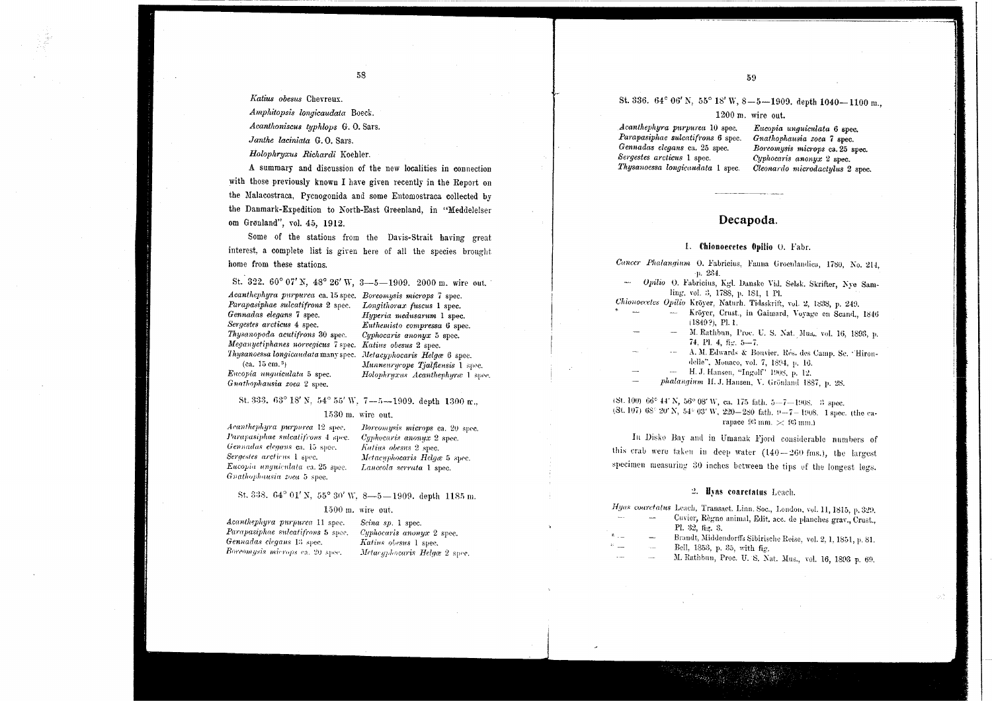Katius obesus Chevrenx.

Amphitopsis longicandata Boeck.

Acanthoniscus typhlops G. O. Sars.

Janthe laciniata G.O. Sars.

Holophruxus Richardi Koehler.

A summary and discussion of the new localities in connection with those previously known I have given recently in the Report on the Malacostraca, Pycnogonida and some Entomostraca collected by the Danmark-Expedition to North-East Greenland, in "Meddelelser om Grønland", vol. 45, 1912.

Some of the stations from the Davis-Strait having great interest, a complete list is given here of all the species brought home from these stations.

St. 322. 60° 07' N. 48° 26' W. 3-5-1909. 2000 m. wire out.

Acanthephyra purpurea ca. 15 spec. Boreomysis microps 7 spec. Parapasiphae sulcatifrons 2 spec. Longithorax fuscus 1 spec. Gennadas elegans 7 spec. Sergestes arcticus 4 spec. Thysanopoda acutifrons 30 spec. Meganuctiphanes norvegicus 7 spec. Katius obesus 2 spec. Thysanoessa longicaudata many spec. Metacyphocaris Helga 6 spec.

Hyperia medusarum 1 spec. Euthemisto compressa 6 spec. Cyphocaris anonux 5 spec. Munneurycope Tjalftensis 1 spec. Holophruxus Acanthenhurce 1 spec

(ca.  $15 \text{ cm.}^3$ ) Encopia unquiculata 5 spec. Gnathophausia zoea 2 spec.

#### St. 333. 63° 18' N, 54° 55' W, 7--5--1909. depth 1300 m.

#### 1530 m. wire out.

Acanthephyra purpurea 12 spec. Parapasiphae sulcatifrons 4 sinc. Gennadas elegans ca. 15 spec. Sergestes arcticus 1 spec. Eucopia unguiculata ea. 25 spec. Gnathophausia zoea 5 spec.

Boreomysis microps ca. 20 spec. Cuphocaris anonux 2 spec. Katius obesus 2 spec. Metacyphocaris Helgæ 5 spec. Lanceola serrata 1 spec.

#### St. 338. 64° 01' N, 55° 30' W, 8-5-1909. depth 1185 m.

#### $1500$  m. wire out.

Acanthephyra purpurea 11 spec. Parapasiphae sulcatifrons 5 spec. Gennadas clegans 13 spec. Boreomysis microps ca. 20 spec.

Scina sp. 1 spec. Cyphocaris anonyx 2 spec. Katius obesus 1 spec. Metacaphocaris Helgæ 2 spec.

# St. 336. 64° 06' N. 55° 18' W, 8-5-1909. depth 1040-1100 m.,

#### 1200 m. wire out.

Acanthephyra purpurea 10 spec. Parapasiphae sulcatifrons 6 spec. Gennadas elegans ca. 25 spec. Sergestes arcticus 1 spec. Thysanoessa longicaudata 1 spec.

Eucopia unauiculata 6 spec. Gnathophausia zoea 7 spec. Boreomysis microps ca. 25 spec. Cyphocaris anonux 2 spec. Cleonardo microdactulus 2 spec.

#### Decapoda.

#### 1. Chionoecetes Onilio O. Fabr.

Cancer Phalangium O. Fabricius, Fauna Groenlandica, 1780, No. 214.  $-0.234$ 

Opilio O. Fabricius, Kgl. Danske Vid. Selsk. Skrifter, Nve Samling, vol. 3, 1788, p. 181, 1 Pl.

Chionoecetes Opilio Kröyer, Naturh. Tidsskrift, vol. 2, 1838, p. 249.

- Kröyer, Crust., in Gaimard, Voyage en Seand., 1846  $(1849?)$ , Pl. 1.
- M. Rathbun, Proc. U. S. Nat. Mus., vol. 16, 1893, p. 74. Pl. 4. fig. 5-7.
- A. M. Edwards & Bouvier, Rés. des Camp. Sc. 'Hirondelle", Monaco, vol. 7, 1894, p. 16.
- H. J. Hansen, "Ingolf" 1908, p. 12.
- phalangium H. J. Hansen, V. Grönland 1887, p. 28.

 $(8t, 100)$  66° 44' N, 56° 08' W, ca. 175 fath. 5--7-1908. 3 spec.  $(3t, 107)$  68° 20' N, 54° 03' W, 220-280 fath. 9-7-1908. 1 spec. (the carapace  $93 \text{ nm}$ .  $\approx 93 \text{ mm}$ .)

In Disko Bay and in Umanak Fjord considerable numbers of this erab were taken in deep water  $(140-260 \text{ fins.})$ , the largest specimen measuring 30 inches between the tips of the longest legs.

#### 2. Hyas coarctatus Leach.

Hyas coarctatus Leach, Transact. Linn. Soc., London. vol. 11, 1815, p. 329.

- Cuvier, Règne animal, Edit, acc. de planches grav., Crust., Pl. 32, fig. 3.
- Brandt, Middendorffs Sibirische Reise, vol. 2, 1, 1851, p. 81.
- Bell, 1853, p. 35, with fig.
- M. Rathbun, Proc. U. S. Nat. Mus., vol. 16, 1893 p. 69.

58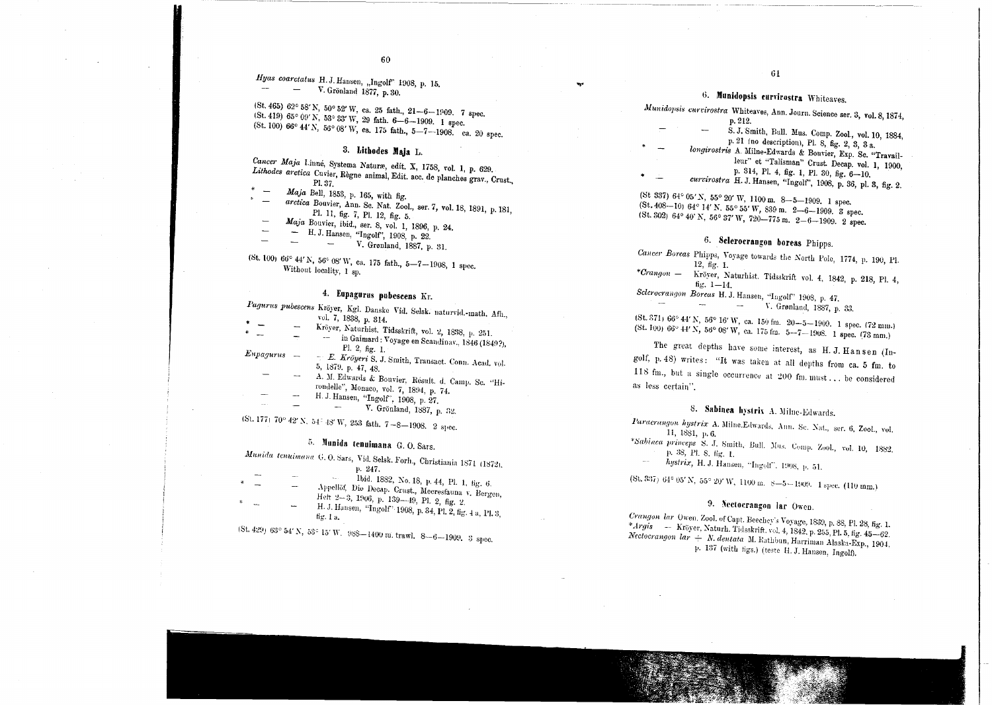Hyas coarctatus H.J. Hansen, "Ingolf" 1908, p. 15.  $-$  V. Grönland 1877, p. 30.

(St. 465) 62° 58' N, 50° 52' W, ca. 25 fath.,  $21-6-1909$ . 7 spec.  $(St. 419) 65° 09' N, 53° 33' W, 29 fath. 6-6-1909.$  1 spec. (St. 100) 66° 44' N, 56° 08' W, ca. 175 fath., 5-7-1908. ca. 20 spec.

## 3. Lithodes Maja L.

Cancer Maja Linné, Systema Naturæ, edit. X, 1758, vol. 1, p. 629. Lithodes arctica Cuvier, Règne animal, Edit. acc. de planches grav., Crust., Pl. 37.

- $Maja$  Bell, 1853, p. 165, with fig. arctica Bouvier, Ann. Sc. Nat. Zool., ser. 7, vol. 18, 1891, p. 181, Pl. 11, fig. 7, Pl. 12, fig. 5. Maja Bouvier, ibid., ser. 8, vol. 1, 1896, p. 24.
	-
	- H. J. Hansen, "Ingolf", 1908, p. 22.

 $\mathbf{r}$ 

V. Grønland, 1887, p. 31.  $\sim$ 

(St. 100) 66° 44' N, 56° 08' W, ca. 175 fath., 5-7-1908, 1 spec. Without locality, 1 sp.

# 4. Eupagurus pubescens Kr.

|           |     | r agarus puoescens Kröyer, Kgl. Danske Vid. Selsk. naturvid.-math. Afh., |
|-----------|-----|--------------------------------------------------------------------------|
| $\bullet$ |     | vol. 7, 1838, p. 314.                                                    |
|           |     | Kröyer, Naturhist, Tidsskrift, vol. 2, 1838, p. 251.                     |
|           |     | in Gaimard: Voyage en Scandinav., 1846 (1849?),                          |
|           |     | Pl. 2, $fig. 1$ .                                                        |
| Eupagurus |     | - E. Kröyeri S. J. Smith, Transact. Conn. Acad. vol.                     |
|           |     | 5, 1879. p. $47, 48$                                                     |
|           | --- | A. M. Edwards & Bouvier, Résult. d. Camp. Sc. "Hi-                       |
|           |     | rondelle", Monaco, vol. 7, 1894, p. 74.                                  |
|           |     | H. J. Hansen, "Ingolf", 1908, p. 27.                                     |
|           |     | V. Grönland 1887 - 29                                                    |

(St. 177) 70° 42′ N, 54<sup>÷</sup> 48′ W, 253 fath, 7-8-1908. 2 spec.

# 5. Munida tenuimana G.O. Sars.

Munida tenuimana G. O. Sars, Vid. Selsk. Forh., Christiania 1871 (1872). p. 247.

Ibid. 1882, No. 18, p. 44, Pl. 1, fig. 6. Appellöf, Die Decap. Crust., Meeresfauna v. Bergen, Heft 2-3, 1906, p. 139-49, Pl. 2, fig. 2. H. J. Hansen, "Ingolf" 1908, p. 34, Pl. 2, fig. 4 a, Pl. 3, fig.  $1a$ .

 $(8t, 429)$  63° 54' N, 53° 15' W. 988-1400 m, trawl. 8--6-1909. 3 spec.

# 6. Munidopsis curvirostra Whiteaves.

Munidopsis curvirostra Whiteaves, Ann. Journ. Science ser. 3, vol. 8, 1874,

- p. 212. S. J. Smith, Bull. Mus. Comp. Zool., vol. 10, 1884,
- p. 21 (no description), Pl. 8, fig. 2, 3, 3 a.
- longirostris A. Milne-Edwards & Bouvier, Exp. Sc. "Travailleur" et "Talisman" Crust. Decap. vol. 1, 1900, p. 314, Pl. 4, fig. 1, Pl. 30, fig. 6-10.
- curvirostra H. J. Hansen, "Ingolf", 1908, p. 36, pl. 3, fig. 2.
- (St 337) 64° 05' N, 55° 20' W, 1100 m. 8-5-1909. 1 spec.  $(8t, 408-10)$  64° 14' N, 55° 55' W, 839 m, 2-6-1909. S spec. (St. 302) 64° 40' N, 56° 37' W, 720-775 m, 2-6-1909. 2 spec.

# 6. Sclerocrangen boreas Phipps.

- Cancer Boreas Phipps, Voyage towards the North Pole, 1774, p. 190, Pl.  $12, fig. 1.$
- $*Cranqon$  Kröver, Naturhist. Tidsskrift vol. 4, 1842, p. 218, Pl. 4, fig.  $1 - 14$ .

Sclerocrangon Boreas H. J. Hansen, "Ingolf" 1908, p. 47.  $\sim$  $\sim$ V. Grønland, 1887, p. 33. **Contract Contract** 

(St. 371) 66° 44' N, 56° 16' W, ca. 150 fm. 20--5-1909. 1 spec. (72 mm.)  $(8t, 100)$  66°  $44'$  N, 56° 08′ W, ca. 175 fm. 5-7-1908. 1 spec. (73 mm.)

The great depths have some interest, as H. J. Hansen (Ingolf, p. 48) writes: "It was taken at all depths from ca. 5 fm. to 118 fm., but a single occurrence at 200 fm. must... be considered as less certain".

# 8. Sabinea hystrix A. Milne-Edwards.

Paraerangon hystrix A. Milne.Edwards, Ann. Sc. Nat., ser. 6, Zool., vol. 11, 1881, p. 6.

\*Sabinea princeps S. J. Smith, Bull. Mus. Comp. Zool., vol. 10, 1882. p. 38, Pl. 8, fig. 1.

hystrix, H. J. Hansen, "Ingolf", 1908, p. 51.

 $(8t, 837)$  64° 05' N, 55° 20' W, 1100 m. 8-5 - 1909. 1 spec. (110 nm.)

# 9. Nectocrangon lar Owen.

Crangon lar Owen, Zool. of Capt. Beechey's Voyage, 1839, p. 88, Pl. 28, fig. 1. \*Argis — Kröyer, Naturh. Tidsskrift, vol. 4, 1842. p. 255, Pl. 5, fig. 45–62. Nectoerangon lar - N. dentata M. Rathbun, Harriman Alaska-Exp., 1904, p. 137 (with figs.) (teste H. J. Hansen, Ingolf).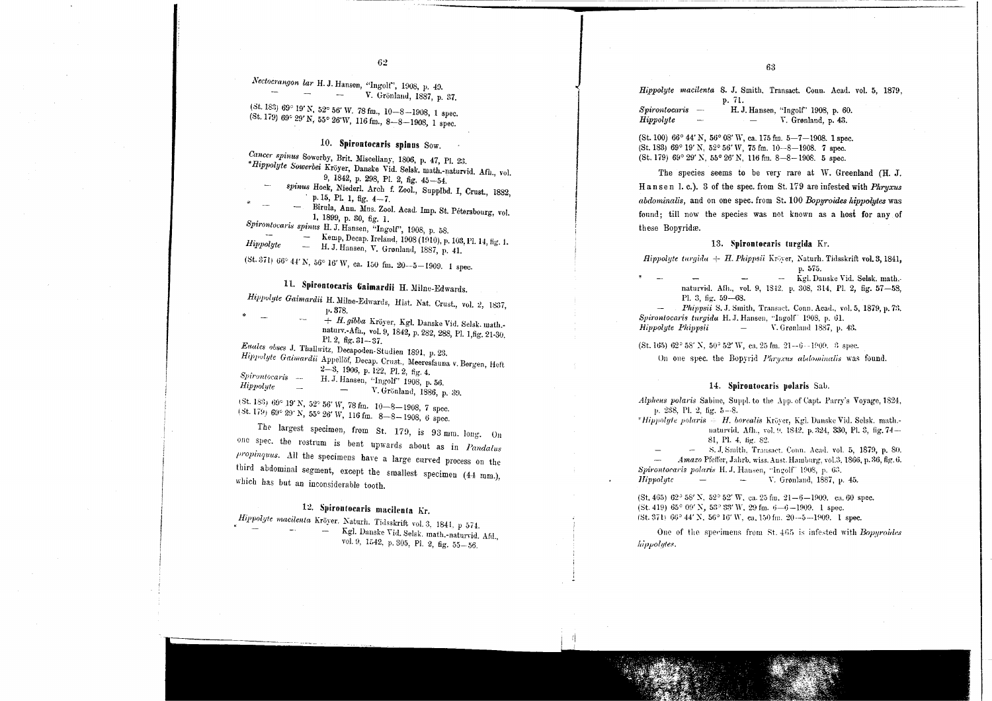*Nectocl'anyon lar* H. J. Hansen, "lngole", 1008, p. 40. V. Gronlanu, 1887, p. 37.  $\sim$ 

(St. 183)  $69^{\circ}$  19' N, 52° 56' W. 78 fm., 10-8-1908, 1 spec. (St. 179)  $69^{\circ}$  29' N, 55° 26' W, 116 fm., 8-8-1908, 1 spec.

## 10. Spirontocaris spinus Sow.

*Cancer spinus* Sowerby, Brit. Miscellany, 1806, p. 47, Pl. 23. \**Hippolyte Sowerbei* Kroyer, Danake Vid. Selak. math.-naturvid. Afh., vol. 9, 1842, p. 298, PI. 2, fig. 45-54. spinus Hoek, Niederl. Arch f. Zool., Supplbd. I, Crust., 1882, p. 15, Pl. 1, fig. 4-7. Birnla, Anu. Mus. Zooi. Aoad. Imp. St. Petersbonrg, vol. 1, 1899, p. 30, fig. 1. *Spirontomris spinus* H. J. Hansen, "lngolf', 1908, p. 58. Kemp, Decap. Ireland, 1908 (1910), p. 103, Pl. 14, fig. 1. Hippolyte — H.J. Hansen, V. Granland, 1887, p. 41. **Hippolyte** 13. Sp**irontocaris turgida** Kr. (1990) (1990) (1990) (1990) (1990) (1990) (1990) (1990) (1990) (1990) (1990) (1990) (1990) (1990) (1990) (1990) (1990) (1990) (

 $(5t, 371)$  66° 44' N, 56° 16' W, ca. 150 fm. 20--5-1909. 1 spec.

# 11. Spirontocaris Gaimardii H. Milne-Edwards.

| Hippolyte Gaimardii H. Milne-Edwards, Hist. Nat. Crust., vol. 2, 1837,   |
|--------------------------------------------------------------------------|
| D. 378.<br>÷                                                             |
| + H. gibba Kröyer, Kgl. Danske Vid. Selsk. math.-                        |
| natury.-Afh., vol. 9, 1842, p. 282, 288, Pl. 1, fig. 21-30,              |
| Pl. 2, fig. $31 - 37$ .                                                  |
| Enales obses J. Thallwitz, Decapoden-Studien 1891, p. 23.                |
| Hippolyte Gaimardii Appellof, Decap. Crust., Meeresfauna v. Bergen, Heft |
| $2-3$ , 1906, p. 122, Pl. 2, fig. 4.                                     |
| Spirontocaris -<br>H. J. Hansen, "Ingolf" 1908, p. 56.                   |
| Hippolyte<br>V. Grönland, 1886, p. 39.                                   |
|                                                                          |
| (St. 183) 69° 19' N, 52° 56' W, 78 fm. 10-8-1908, 7 spec.                |
| $(5t, 179)$ 69° 29' N, 55° 26' W, 116 fm. 8-8-1908, 6 spec.              |

The largest specimen, from St. 179, is 93 mm. long. On one spec. the rostrum is bent upwards about as in *Pandalus Propinquus.* All the specimens have a large curved process on the third abdominal segment, except the smallest specimen  $(44 \text{ mm.})$ , which has but an inconsiderable tooth.

# 12. Spirontocaris macilenta Kr.

*Hippolyte macilenta* Kröyer. Naturh. Tidsskrift vol. 3, 1841, p 574. 574. Kgl. Danske Vid. Selsk. math.-naturvid. Afd., vol. 9, 1542, p. 305, Pl. 2, fig. 55-56.

*Hippolyte maeilenta* S. J. Smith. Transact. Conn. Acad. vo!. 5, 1879. p. 7I.

 $S$ *pirontocaris*  $-$ H. J. Hansen, "lngolf' 1908, p. 60. *Hippolyte* L. V. Grønland, p. 43.

 $(St. 100) 66^{\circ} 44' N$ ,  $56^{\circ} 08' W$ , ca. 175 fm.  $5 - 7 - 1908$ . 1 spec. (St. 183) 69° 19' N, 52° 56' W, 75 fm. 10-8-1908. 7 spec. (St. 179) 69° 29' N, 55° 26' N, ll6 fm. 8-8-1908. 5 spec.

The species seems to be very rare at W. Greenland (H. J. H a n se n 1, c.). 3 of the spec. from St. 179 are infested with *Phruxus abdominalis,* and on one spec. from St. 100 *Bopyroides hippolytes* was found: till now the species was not known as a host for any of these Bopyridæ.

 $$ 1'.575.

Kgl. Danske Vid. Selsk. math.. naturvid. Afh., vol. 9, 1842. p. 308, 314, Pl. 2, fig. 57-58. Pl. 3, fig. 59-68.

rt. 3, ng. 59—68.<br>*Phippsii* S. J. Smith, Transact. Conn. Acad., vol. 5, 1879, p. 73. - *~,"l'PSII.,* - *Sph'ontoearis turgida* H. ,J.Hansen, "lngoW H)08~!~ 61.  $-$  $V. Graphland 1887, p. 43.$ 

(St. 165) $62^{\circ}$  58' N,  $50^{\circ}$  52' W, ca. 25 fm.  $21-6-1909$ . '3 spec.

On one spec. the Bopyrid *Phryzus abdominalis* was found.

#### 14. Spirontocaris polaris Sab.

 $\frac{Alpha}{1}$  polaris Sabine, Suppl. to the App. of Capt. Parry's Voyage, 1824, 238, Pl. 2, fig. 5-

*'Hippolyte polaris - H. borealis* Kröyer, Kgi. Danske Vid. Selsk. math.naturvid. Afh., vol. 9, 1842. p. 324, 330, Pl. 3, fig. 74-81. Pl. 4. fig. 82.

K.J. Smith, Transact. Conn. Acad. vol. 5, 1879, p. 80. *mazo* riener, starto, wiss. Anst. Hamburg, vol.s.<br>*Spirontocaris polaris* H. J. Hausen, "Ingolf" 1908, p. 63. *Amazo* Pfeffer, Jahrb. wiss. Anst. Hamburg, vol.3. 1866, p. 36, fig. 6. *IIippolyte*  $\cdot$  *V. Gronland, 1887, p. 45. 'ppoly*t

(St. 465) 62° 58' N, 52° 52' W, ca. 25 fm. 21-6-1909. ca. 60 spec.  $(St. 419)$  65° 09' N, 53° 83' W, 29 fm. 6-6-1909. 1 spec. (St. 371)  $66^{\circ}$  44' N,  $56^{\circ}$  16' W, ca. 150 fm. 20--5-1909. I spec.

One of the specimens from St. 465 is infested with *Bopyroides hippolyles.*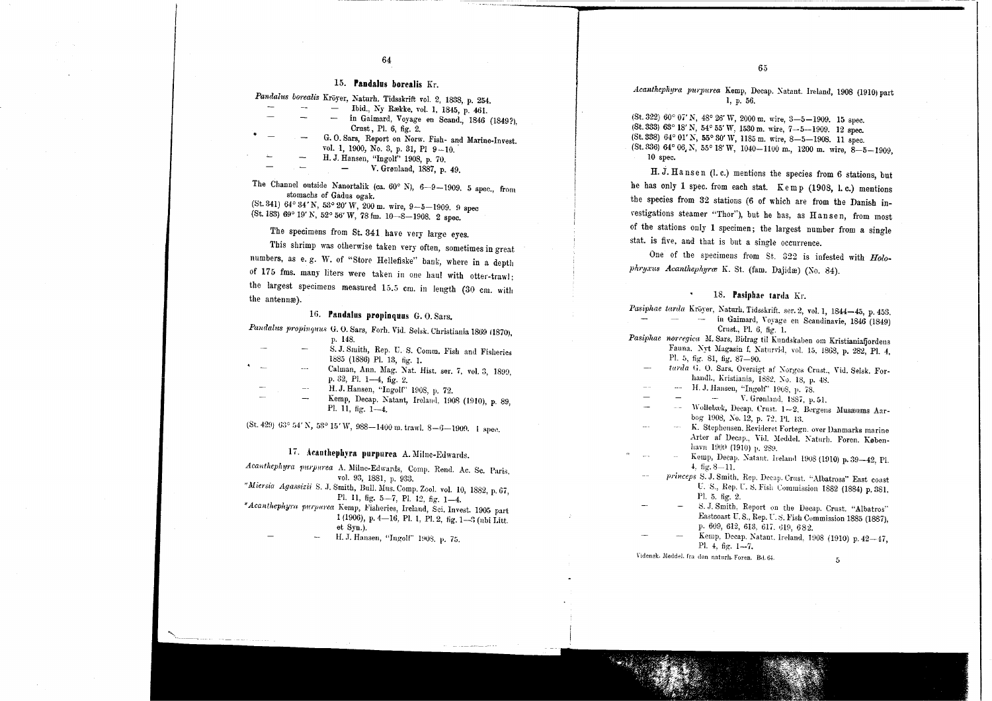#### 15. Pandalus borealis Kr.

64

| Pandalus borealis Kröyer, Naturh. Tidsskrift vol. 2, 1838, p. 254. | p. 56. |
|--------------------------------------------------------------------|--------|
|                                                                    |        |

|  | Ibid., Ny Række, vol. 1, 1845, p. 461.              |
|--|-----------------------------------------------------|
|  | in Gaimard, Voyage en Scand., 1846 (1849?).         |
|  | Crust, Pl. 6, fig. 2.                               |
|  | G.O. Sars, Report on Norw. Fish- and Marine-Invest. |
|  | vol. 1, 1900, No. 3, p. 31, Pl 9-10.                |
|  | H. J. Hansen, "Ingolf" 1908, p. 70.                 |
|  | V. Grønland, 1887, p. 49.                           |

The Channel outside Nanortalik (ca.  $60^{\circ}$  N),  $6-9-1909$ . 5 spec., from stomachs of Gadus ogak. (St. 341)  $64^{\circ}$  34' N,  $53^{\circ}$  20' W, 200 m, wire, 9-5-1909. 9 spec

(St. 183) 69° 19' N, 52° 56' W, <sup>78</sup> fm. 1O~8-1908. <sup>2</sup> spec.

The specimens from St. 341 have very large eyes.

This shrimp was otherwise taken very often, sometimes in great numbers, as e. g. W. of "Store Hellefiske" bank, where in a depth of 175 fms. many liters were taken in one haul with otter-trawl; the largest specimens measured 15.5 cm. in length (30 cm. with the antennas). The content of the content of the content of the content of the content of the antennas).

#### 16. Pandalus propinquus  $G. O. Sars.$

*Pandalus propinquus* G. O. Sars, Forh. Vid. Selsk. Christiania 1869 (1870), p. 148. S. J. Smith, Rep. U. S. Comm. Fish and Fisheri

|   |          | sive stated, resp. 6. S. Comin. Fish and Fisheries |  |
|---|----------|----------------------------------------------------|--|
|   |          | 1885 (1886) Pl. 13, fig. 1.                        |  |
| ÷ | $\cdots$ | Calman, Ann. Mag. Nat. Hist. ser. 7, vol. 3, 1899. |  |

- p. 32, Pl. 1-4, fig. 2.
	- H. J. Hansen, "Ingolr' 1908, p. 72.
	- Kemp, Decap. Natant, Ireland, 1908 (1910), p. 89, Pl. 11, fig. 1-4.

(St. 429) 63° 54′ N, 53° 15′ W, 988—1400 m. trawl. 8—6—1909. 1 spec.

## 17. Acauthephyra purpurea A. Milne-Edwards.

Acanthephyra purpurea A. Milne-Edwards, Comp. Rend. Ac. Sc. Paris. vol. 93, 1881, p. 933.

*"Miersia Agassizii* S. J. Smith, Bull. Mus. Comp. Zool. vol. 10, 1882, p. 67, Pl. 11, fig. 5-7, Pl. 12, fig. 1-4.

\* Acanthephyra purpurea Kemp, Fisheries, Ireland, Sci. Invest. 1905 part 1 (1906), p. 4-16, Pl. 1, Pl. 2, fig. 1-3 (nbi Litt. et Syn.).

"'''--''''- . "~;~~t.~"v;.""..:~

H. J. Hansen, "Ingolf" 1908. p. 75.

*Acanthephyra purpurea* Kemp, Decap. Natant. Ireland, 1908 (1910) part 1. p. 56.

(St. 322)  $60^{\circ}$   $07'$  N,  $48^{\circ}$   $26'$  W,  $2000$  m, wire,  $3-5-1909$ . 15 spec. (St. 333) 63° 18' N, 54° 55' W, 1530m. wire, 7~5-1909. <sup>12</sup> spec. (St.338) 64° 01' N, 55" 30' W, <sup>1185</sup> m. wire, 8-5-1908. <sup>11</sup> spec.  $(St. 336) 64° 06 N, 55° 18' W, 1040-1100 m, 1200 m. wire, 8-5-1909.$ 10 spec.

H. J. Hansen (I.c.) mentions the species from 6 stations, but he has only 1 spec. from each stat. Kemp (1908, l.c.) mentions the species from 32 stations (6 of which are from the Danish in vestigations steamer "Thor"), but he has, as Hansen, from most of the stations only 1 specimen; the largest number from a single stat. is five, and that is but a single occurrence.

One of the specimens from Sf. 322 is infested with *Holophryxus Acanthephyra* K. St. (fam. Dajidæ) (No. 84).

*Pasiphae tarda* Kröyer, Naturh. Tidsskrift. ser. 2, vol. 1, 1844-45, p. 453. in Gaimard, Voyage en Scandinavie, 1846 (1849) Crnst., PI. 6, fig. 1.

- Pasiphae norregica M. Sars, Bidrag til Kundskaben om Kristianiafjordens Fauna. Nyt Magasin f. Naturvid, vol. 15, 1868, p. 282, Pl. 4, PI. 5, fig. 81, fig. 87-90.
	- *furda* G. O. Sars. Oversigt af Norges Crust., Vid. Selsk. Forhandl., Kristiania, 1882. No. 18, p. 48.
	-
	- H. J. Hansen, "Ingolf" 1908, p. 78.<br>
	 V. Grønland, 1887, p. 51.
	- -- Wollebæk, Decap. Crust. 1-2. Bergens Musæums Aarbog 1908, No. 12, p. 72, Pl. 13.
	- K. Stcphensen. Rcvideret Fortegn. over Danmarks marine Arter af Decap., Vid. Meddel. Naturh. Foren. København 1909 (1910) p. 289.
	- Kemp, Decap. Natant. Ireland 1908 (1910) p. 39-42, Pl. 4. fig. 8-11.
	- *princeps* S. J. Smith. Rep. Decap. Crust. "Albatross" East coast U. S., Rep. U. S. Fish Commission 1882 (1884) p. 381. PI. 5. fig. 2.
	- S. J. Smith, Report on the Decap. Crust. "Albatros" Eastcoast U.S., Rep. U.S. Fish Commission 1885 (1887), p. 609, 612, 613, 617, 619, 682.
	- Kemp, Decap. Natant. Ireland, 1908 (1910) p. 42-47, Pl. 4, fig.  $1-7$ .

Vidensk. Meddel. fra den naturh. Foren. Bd. 64.

,

5

J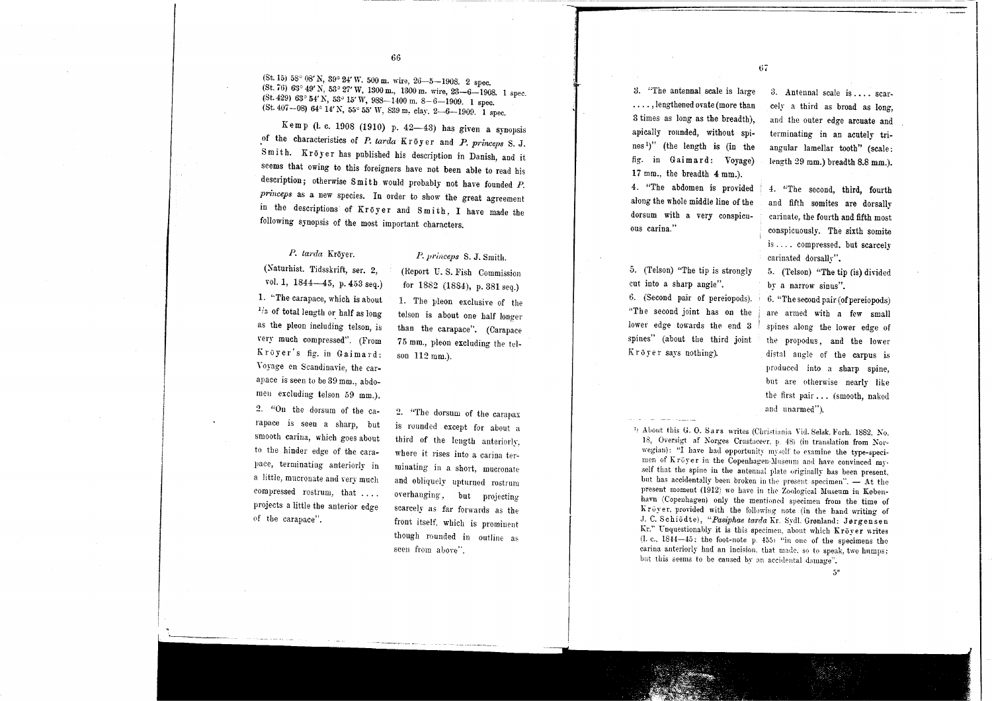(St. 15) 58° 08' N, 39° 24' W. 500 m. wire, 26—5—1908. 2 spec.<br>
(St. 76) 63° 49' N, 53° 27' W, 1300 m., 1300 m. wire, 23—6—1908. 1 spec.<br>
(St. 429) 63° 54' N, 53° 15' W, 988—1400 m. 8—6—1909. 1 spec.<br>
(St. 407—08) 64° 14'

Kemp (i. c. 1908 (1910) p. 42-43) has given a synopsis of the characteristics of P. tarda Kröyer and P. princeps S. J. Smith. Kröyer has published his description in Danish, and it seems that owing to this foreigners have not been able to read his description; otherwise Smi th would probably not have fouuded *P. princeps* as a new species. In order to show the great agreement in the descriptions of Kröyer and Smith, I have made the following synopsis of the most important characters.

# *P. tanla* Kroyer.

#### P. *princeps* S. J. Smith.

(Naturhist. Tidsskrift, ser. 2, vol. 1, 1844-45, p. 453 seq.) 1. "The carapace, which is about <sup>1/3</sup> of total length or half as long as the pleon including telson, is \'ery much compressed". (From Kroyer's fig. in Gaimard: Yoyage en Scandinavie, the carapace is seen to be 39 mm., abdomen excluding telson 59 mm.). 2. "On the dorsum of the carapace is seeu a sharp, but smooth carina, which goes about to the hiuder edge of the carapace, terminating anteriorly in a little, mucronate and very much compressed rostrum, that.... projects a little the anterior edge

()f the carapace".

(Report U.S. Fish Commission) for 1882 (1884), p. 381 seq.) 1. The pleon exclusive of the telson is about one half longer than the carapace". (Carapace 75 mm., pleon excluding the telson 112 mm.).

2. "The dorsum of the carapax is rounded except for about a third of the length anteriorly, where it rises into a carina terminating in a short, mucronate and obliquely upturned rostrum overhanging, but projecting scarcely as far forwards as the front itself. which is prominent though rounded in outline as seen from above".

:J. "The antennal scale is large . . . . ,lengthened ovate (more than 3 times as long as the breadth), apically rounded, without spines')" (the length is (in the fig. in Gaimard: Voyage) 17 mm., the breadth 4 mm.).

67

4. "The abdomen is provided along the wholemiddle line of the dorsum with a very conspicuous carina."

.5. (Te]son) "The tip is strongly cut into a sharp angle". 6. (Second pair of pereiopods). "The second joint has on the lower edge towards the end 3 spines" (about the third joint Kröver says nothing).

 $3.$  Antennal scale is .... scarcely a third as broad as long, and the outer edge arcuate and terminating in an acutely triangular lamellar tooth" (scale: length 29 mm.) breadth 8.8 mm.).

4. "The second, third, fourth and fifth somites are dorsally carinate, the fourth and fifth most conspicuously. The sixth somite is . . .. compressed. but scarcely carinated dorsally".

5. (Telson) "The tip (is) divided by a narrow sinus".

6. "The second pair (of pereiopods) are armed with a few small spines along the lower edge of the propodus, and the lower distal angle of the carpus is produced into a sharp spine, but are otherwise nearly like the first pair... (smooth, naked and unarmed").

<sup>1</sup>) About this G. O. Sars writes (Christiania Vid. Selsk. Forh. 1882, No. 18. Oversigt af Norges Crustaceer. p. 48) (in translation from Norwegian): "I have had opportunity myself to examine the type-specimen of Kröyer in the Copenhagen-Museum and have convinced myself that the spine in the antennal plate originally has been present, but has accidentally been broken in the present specimen". - At the present moment (1912) we have in the Zoological Museum in Kobenhavn (Copenhagen) only the mentioned specimen from the time of Kröyer, provided with the following note (in the hand writing of J. C. Schiodte), "Pasiphae tarda Kr. Sydl. Grønland: Jørgensen Kr." Unquestionably it is this specimen, about which  $\text{Kröyer writes}$  (1. e., 1844 $-45$ : the foot-note p. 455) "in one of the specimens the carina anteriorly had an incision, that made, so to speak, two humps: but this seems to be caused by an accidental damage".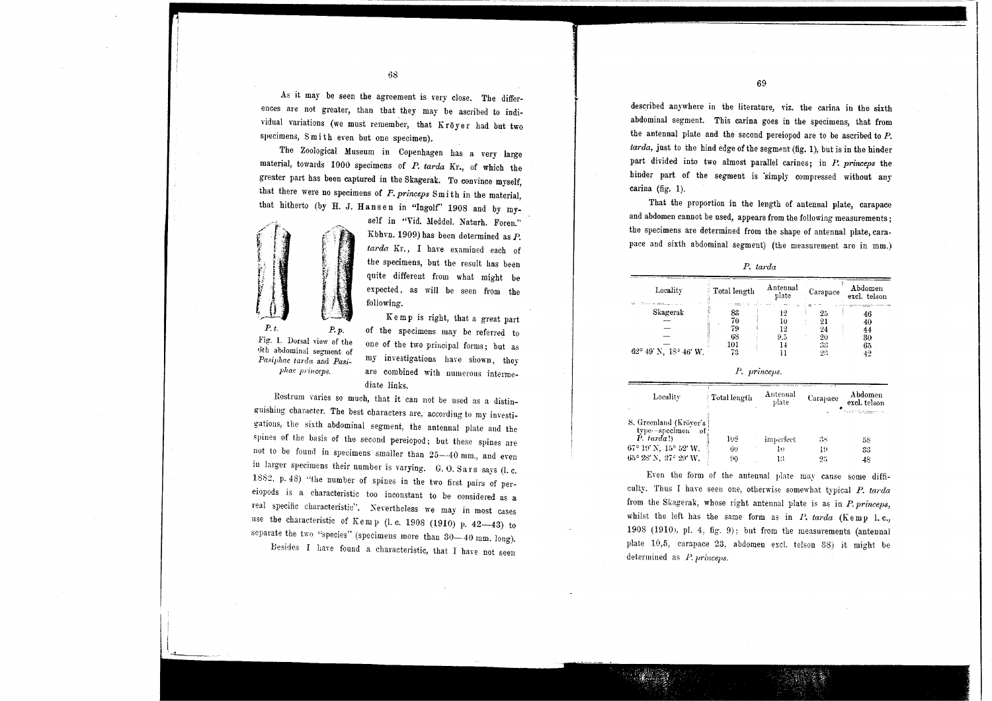As it may be seen the agreement is very close. The differences are not greater, than that they may be ascribed to individual variations (we must remember, that Kroyer had but two specimens, Smith even but one specimen).

. The Zoological Museum in Copenhagen has a very large material, towards 1000 specimens of *P. tarda* Kr., of which the greater part has been captured in the Skagerak. To convince myself, that there were no specimens of *F. princeps* 8m i th in the material, that hitherto (by H. J. Hansen in "Ingolf" 1908 and by my-



self in "Vid. Meddel. Naturh. Foren." Kbhvn. 1909) has been determined as *P.* tarda Kr., I have examined each of the specimens, but the result has been quite different from what might be expected, as will be seen from the following.

Fig. 1. Dorsal view of the **tJth abdominal segment of** *Pasiphae tarda* and *Pasij)hae princeps.*

K em p is right, that a great part of the specimens may be referred to one of the two principal forms; but as my investigations have shown, they are combined with numerous intermediate links.

Rostrum varies so much, that it cau not be used as a distinguishing character. The best characters are, according to my investigations, the sixth abdominal segment, the antennal plate and the spines of the basis of the second pereiopod; but these spines are not to be found in specimens smaller than 25-40 mm., and even in larger specimens their number is varying. G. O. Sars says (I. c. 1882, p.48) "the number of spines in the two first pairs of pereiopods is a characteristic too inconstant to be considered as a rea] specific characteristic". Severtheless we may in most cases use the characteristic of  $K$ emp (l. c. 1908 (1910) p. 42—43) to separate the two "species" (specimens more than  $30-40$  mm. long). Besides I haye found a characteristic, that I have not seen

described anywhere in the literature, viz. the carina in the sixth abdominal segment. This carina goes in the specimens, that from the antennal plate and the second pereiopod are to be ascribed to *P. tarda,* just to the hind edge of the segment (fig. I), but is in the hinder part divided into two almost parallel carines; in P. *princeps* the hinder part of the segment is 'simply compressed without any carina (fig. 1).

That the proportion in the length of antennal plate, carapace and abdomen cannot be used, appears from the following measurements; the specimens are determined from the shape of antennal plate, carapace and sixth abdominal segment) (the measurement are in mm.)

| Locality                       | Total length | Antennal<br>plate | Carapace | Abdomen<br>excl. telson |
|--------------------------------|--------------|-------------------|----------|-------------------------|
| Skagerak                       | 83           | 12                | 25       | 46                      |
|                                | 70           |                   | 21       | 40                      |
|                                | 79           | 19                | 24       | 44                      |
|                                | 68           | 9.5               | 20       | 30                      |
|                                | 101          |                   | 33       | 65                      |
| $62^{\circ}$ 49' N, 18° 46' W. | 73           |                   | 22       | 42                      |

*P. tarda* 

| Р | princeps. |
|---|-----------|

| Locality                                     | <b>Total length</b> | Antennal<br>plate | Carapace | Abdomen<br>excl. telson |  |
|----------------------------------------------|---------------------|-------------------|----------|-------------------------|--|
| <br>S. Greenland (Kröver's)<br>type-specimen |                     |                   |          |                         |  |
| ot<br>$P.$ tarda!)                           | 108                 | imperfect         | З8       | 58                      |  |
| 67° 19′ N, 15° 52′ W.                        | 60                  | ю                 | 19       | 33                      |  |
| 65° 28′ N.-27° 29′ W.                        | 90                  | 13                | 95       | 48                      |  |

Even the form of the antennal plate may cause some difficulty. Thus I have seen one, otherwise somewhat typical P. tarda from the Skagerak, whose right antennal plate is as in P. princeps, whilst the left has the same form as in  $P$ . tarda (Kemp I. c., 1908 (1910), pl. 4, fig. 9); but from the measurements (antennal plate 10,5, carapace 23, abdomen excl. telson 38) it might be determined as  $P.$  princens.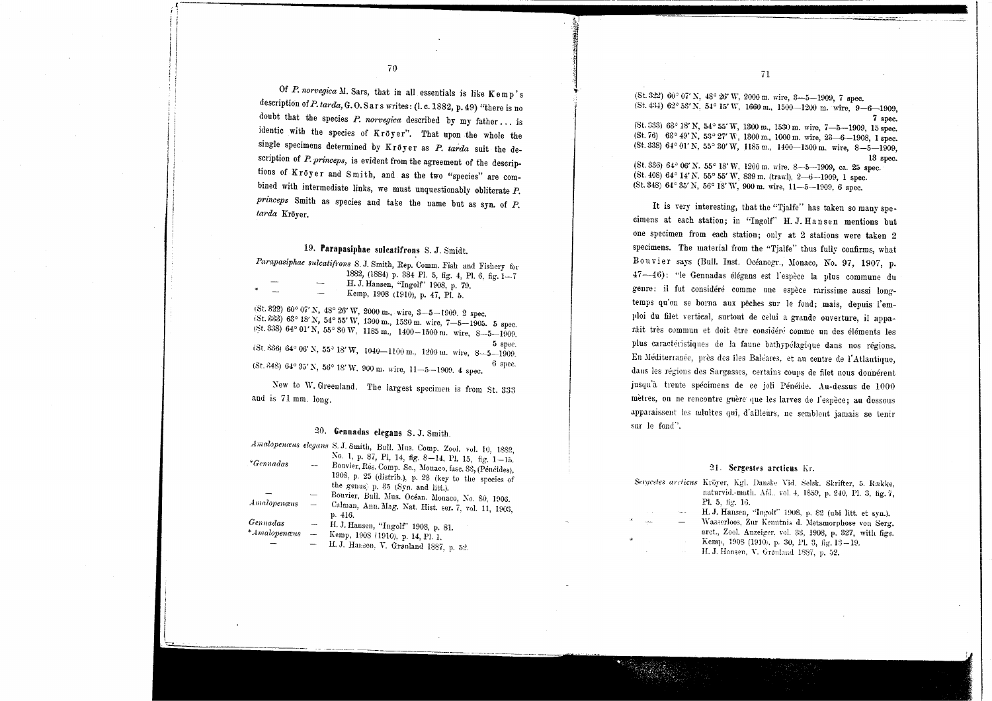71

 $($ St. 322 $)$  60° 07' N, 48° 26' W, 2000 m, wire, 3--5--1999, 7 spec.  $($ St. 434) 62° 53' N, 54° 15' W, 1660 m., 1500--1200 m. wire, 9-6-1909,

<sup>7</sup> spec. (St.333) 63° 18'N, 54° 55'W, 1300m., 15:}0m. wire, 7-5-1909, 15spec. (St.76) *63°* 49' N, *53°* 27' W, <sup>1300</sup> m., <sup>1000</sup> m. wire, 23-6-1908, <sup>1</sup> spec. (St. 338)  $64°01'$  N,  $55°30'$  W,  $1185$  m.,  $1400-1500$  m. wire,  $8-5-1909$ , 13 spec.

(St. 336) 64° 06' N. 55° 18' W, 1200 m. wire. 8-5-1909, ca. 25 spec. (St. 408)  $64^{\circ}$  14' N. 55° 55' W. 839 m. (trawl), 2-6-1909, 1 spec. (St. 348)  $64^{\circ}$  35' N, 56° 18' W, 900 m. wire, 11-5-1909, 6 spec.

It is very interesting, that the "Tjalfe" has taken so many specimens at each station; in "Ingolf" H. J. Hansen mentions but one specimen from each station; only at 2 stations were taken 2 specimens. The material from the "Tjalfe" thus fully confirms, what Bouvier says (Bull. Inst. Oceanogr., Monaco, No. 97, 1907, p. 47-46): "le Gennadas élégans est l'espèce la plus commune du genre: il fut considéré comme une espèce rarissime aussi longtemps qu'on se borna aux pêches sur le fond; mais, depuis l'emploi du filet vertical, surtout de celui a grande ouverture, il apparâit très commun et doit être considéré comme un des éléments les plus caractéristiques de la faune bathypélagique dans nos régions. En Méditerranée, près des îles Baléares, et au centre de l'Atlantique, dans les régions des Sargasses, certains coups de filet nous donnérent jusqu'à trente spécimens de ce joli Pénéide. Au-dessus de 1000 mètres, on ne rencontre guère que les larves de l'espèce; au dessous apparaissent les adultes qui, d'ailleurs, uc somblent jamais se tenir sur Ie fond".

#### 21. Sergestes arcticus Kr.

| Sergestes arcticus Kröyer, Kgl. Danske Vid. Selsk. Skrifter, 5. Række, |             |                                                            |  |  |  |
|------------------------------------------------------------------------|-------------|------------------------------------------------------------|--|--|--|
|                                                                        |             | naturvid.-math. Afd., vol. 4, 1859, p. 240, Pl. 3, fig. 7, |  |  |  |
|                                                                        |             | Pl. 5, fig. 16.                                            |  |  |  |
|                                                                        | September 1 | H. J. Hansen, "Ingolf" 1908, p. 82 (ubi litt. et syn.).    |  |  |  |

Wasserloos, Zur Kenntnis d. Metamorphose von Serg. arct., Zool. Anzeiger, vol. 33, 1908, p. 327, with figs. Kemp, 1908 (1910), p. 30, Pl. 3, fig. 13-19. H. J. Hansen, V. Grønland 1887, p. 52.

70

 $\overline{\mathbf{3}}$ 

, *, , , , , , , , ,* 

Of  $P$ . *norvegica*  $M$ . Sars, that in all essentials is like  $K$ emp's description of *P. tarda*, G. O. Sars writes : (l. c. 1882, p. 49) "there is no doubt that the species *P. norvegica* described by my father... is identic with the species of Kroyer". That upon the whole the single specimens determined by Kroyer as *P. tarda* suit the description of *P. princeps,* is evident from the agreement of the descriptions of Kroyer and Smith, and as the two "species" are combined with intermediate links, we must unquestionably obliterate *P. princeps* Smith as species and take the name but as syn. of *P. /m'da* Kroyer.

#### 19. Parapasiphae sulcatifrons S. J. Smidt.

*Parapasiphae sulcatifrons* S. J. Smith, Rep. Comm. Fish and Fishery for 1882, (1884) p. 384 PI. 5, fig. 4, PI. 6, fig. ]-7 H. J. Hansen, "Ingolf" 1908, p. 79. Kemp, 1908 (1910), p. 47, PI. 5.

1St.322) 60°07'N, 48° 26'W, <sup>2000</sup> m., wire, 3-5-1909. <sup>2</sup> spec.  $(5t. 333)$  63° 18' N, 54° 55' W, 1300 m., 1530 m. wire. 7-5-1905. 5 spec.  $15:3:8$ )  $64^{\circ}$  01'N,  $55^{\circ}$  30 W, 1185 m., 1400-1500 m. wire, 8-5-1909. <sup>5</sup> spec. iSt. HH6)64° 06' X, 55° 18' W, 1040-1100 m.. ]200 Ill. wire, 8-5-1909. (St. 348)  $64^{\circ}35'$  N,  $56^{\circ}18'$  W. 900 m. wire,  $11-5-1909$ . 4 spec.  $6$  spec.

New to W. Greenland. The largest specimen is from St. 333 and is 71 mm. long.

#### 20. Gennadas elegans S. J. Smith.

|                        |                          | Amalopenæus elegans S. J. Smith, Bull. Mus. Comp. Zool. vol. 10, 1882,                                        |
|------------------------|--------------------------|---------------------------------------------------------------------------------------------------------------|
| $*Gennadas$            |                          | No. 1, p. 87, Pl, 14, fig. 8-14, Pl. 15, fig. 1-15.<br>Bouvier, Rés. Comp. Sc., Monaco, fasc. 33, (Pénéides), |
|                        |                          | 1908, p. 25 (distrib.), p. 28 (key to the species of<br>the genus) p. 35 (Syn. and litt.).                    |
|                        |                          | Bouvier, Bull. Mus. Océan. Monaco, No. 80, 1906.                                                              |
| Amalopenæus            |                          | Calman, Ann. Mag. Nat. Hist. ser. 7, vol. 11, 1903,                                                           |
|                        |                          | p. 416.                                                                                                       |
| Gennadas               |                          | H. J. Hansen, "Ingolf" 1908, p. 81.                                                                           |
| $*A$ <i>malopenæus</i> | $\overline{\phantom{a}}$ | Kemp, 1908 (1910), p. 14, Pl. 1.                                                                              |
|                        |                          | H. J. Hansen, V. Grønland 1887 n. 52                                                                          |

i f . L.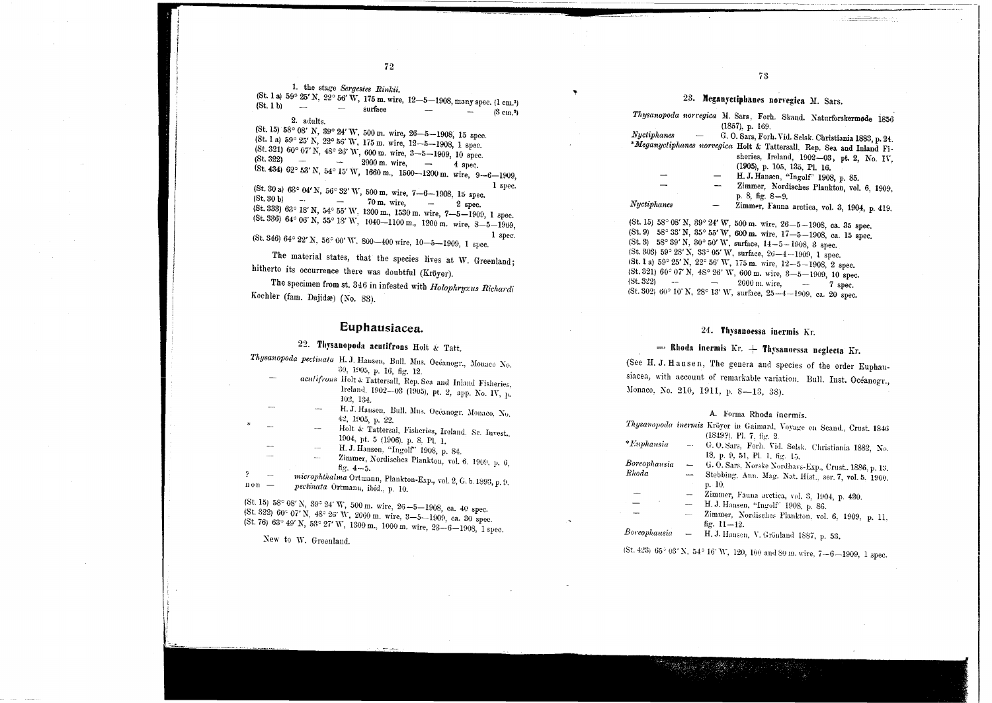1. the stage Sergestes Rinkii.

(St. 1 a) 59° 25' N, 22° 56' W, 175 m. wire, 12-5-1908, many spec. (1 cm.<sup>3</sup>)  $(St, 1 b)$  - $-$  surface  $(3 \text{ cm.3})$ 2. adults.

(St. 15) 58° 08' N, 39° 24' W, 500 m, wire, 26-5-1908, 15 spec. (St. 1 a) 59° 25' N, 22° 56' W, 175 m, wire, 12-5-1908, 1 spec. (St. 321) 60° 07' N, 48° 26' W, 600 m, wire, 3-5-1909, 10 spec.  $(8t. 322)$  -  $2000 \text{ m. wire}$  -  $4 \text{ spec}$ (St. 434) 62° 53' N, 54° 15' W, 1660 m, 1500-1200 m, wire, 9-6-1909, 1 spec. (St. 30 a) 63° 04' N, 56° 32' W, 500 m. wire, 7-6-1908, 15 spec.  $(5t. 30 b)$  -  $70 m. wire,$  2 spec.  $(St. 333)$  63° 18' N, 54° 55' W, 1300 m, 1530 m, wire, 7-5-1909, 1 spec.  $(St. 336)$  64° 06' N, 55° 18' W, 1040-1100 m, 1200 m. wire, 8-5-1909, 1 spec.

 $(5t. 346) 64° 22' N$ ,  $56° 00' W$ ,  $800-400$  wire,  $10-5-1909$ , 1 spec.

The material states, that the species lives at W. Greenland: hitherto its occurrence there was doubtful (Kröyer).

The specimen from st. 346 in infested with Holophryxus Richardi Koehler (fam. Dajidæ) (No. 83).

#### Euphausiacea.

# 22. Thysanopoda acutifrons Holt & Tatt.

- Thysanopoda pectinata H.J. Hausen, Bull. Mus. Océanogr., Monaco No. 30, 1905, p. 16, fig. 12.
	- acutifrons Holt & Tattersall, Rep. Sea and Inland Fisheries, Ireland, 1902-03 (1905), pt. 2, app. No. IV, p. 102, 134.
	- H. J. Hausen, Bull. Mus. Oceanogr. Monaco, No. 42, 1905, р. 22.
		- Holt & Tattersal, Fisheries, Ireland, Sc. Invest. 1904, pt. 5 (1906), p. 8, Pl. 1.
		- H. J. Hansen. "Ingolf" 1908, p. 84.
	- Zimmer, Nordisches Plankton, vol. 6, 1909, p. 6,
	- fig.  $4 5$ .
- microphthalma Ortmann, Plankton-Exp., vol. 2, G. b. 1893, p. 9.  $n \circ n$ pectinata Ortmann, ibid., p. 10.

(St. 15) 58° 08' N, 39° 24' W, 500 m. wire, 26-5-1908, ca. 40 spec. (St. 322) 60° 07' N, 48° 26' W, 2000 m, wire, 3-5-1909, ca. 30 spec. (St. 76) 68° 49' N, 53° 27' W, 1300 m, 1000 m, wire, 23-6-1908, 1 spec.

New to W. Greenland.

 $\circ$ 

# 23. Meganyctiphanes norvegica M. Sars.

and the company

|             | Thysanopoaa norregica M. Sars, Forh. Skand. Naturforskermøde 1856     |
|-------------|-----------------------------------------------------------------------|
|             | (1857), p. 169.                                                       |
| Nyctiphanes | G. O. Sars, Forh. Vid. Selsk. Christiania 1883, p. 24.                |
|             | *Meganyctiphanes norvegica Holt & Tattersall, Rep. Sea and Inland Fi- |
|             | sheries, Ireland, 1902-03, pt. 2, No. IV,                             |
|             | (1905), p. 105, 135, Pl. 16.                                          |
|             | H. J. Hansen, "Ingolf" 1908, p. 85.                                   |
|             | Zimmer, Nordisches Plankton, vol. 6, 1909,                            |
|             | p. 8, fig. $8-9$ .                                                    |
| Nyctiphanes | Zimmer, Fauna arctica, vol. 3, 1904, p. 419.                          |
|             | St. 15) 58° 08' N, 39° 24' W, 500 m. wire, 26-5-1908, ca. 35 spec.    |
|             |                                                                       |

(St. 9)  $58^{\circ}$  33' N,  $35^{\circ}$  55' W, 600 m. wire,  $17 - 5 - 1908$ , ca. 15 spec. (St. 3) 58° 39' N, 30° 50' W, surface,  $14-5-1908$ , 3 spec. (St. 303) 59° 28' N, 33° 05' W, surface, 26-4-1909, 1 spec. (St. 1 a) 59° 25' N, 22° 56' W, 175 m. wire, 12-5-1908, 2 spec. (St. 321) 60° 07' N, 48° 26' W, 600 m, wire, 3-5-1909, 10 spec.  $(5t. 322)$  -  $2000 \text{ m. wire},$   $7 \text{ spec}.$ (St. 302) 60° 10' N, 28° 13' W, surface, 25-4-1909, ca. 20 spec.

#### 24. Thysanoessa inermis Kr.

# - Rhoda inermis Kr.  $+$  Thysanoessa neglecta Kr.

(See H. J. Hansen, The genera and species of the order Euphausiacea, with account of remarkable variation. Bull. Inst. Océanogr., Мопасо, Хо. 210, 1911, р. 8-13, 38).

#### A. Forma Rhoda inermis.

|              |                                 | Thysanopoda inermis Kröyer in Gaimard. Voyage en Scand., Crust. 1846 |
|--------------|---------------------------------|----------------------------------------------------------------------|
|              |                                 | (1849?), Pl. 7, fig. 2.                                              |
| *Euphausia   | $-$                             | G.O.Sars, Forh. Vid. Selsk. Christiania 1882, No.                    |
|              |                                 | 18, p. 9, 51, Pl. 1, fig. 15.                                        |
| Boreophausia | $\qquad \qquad$                 | G. O. Sars, Norske Nordhavs-Exp., Crust., 1886, p. 13.               |
| Rhoda        | $\overline{\phantom{a}}$        | Stebbing, Ann. Mag. Nat. Hist., ser. 7, vol. 5, 1900.                |
|              |                                 | p. 10.                                                               |
|              |                                 | Zimmer, Fauna arctica, vol. 3, 1904, p. 420.                         |
|              | ——                              | H. J. Hansen, "Ingolf" 1908, p. 86.                                  |
|              | $\sim$                          | Zimmer, Nordisches Plankton, vol. 6, 1909, p. 11,                    |
|              |                                 | fig. $11 - 12$ .                                                     |
| Boreophausia | $\overbrace{\phantom{1232211}}$ | H. J. Hansen, V. Grönland 1887, p. 58.                               |

(St. 423) 65° 03' N, 54° 16' W, 120, 100 and 80 m, wire, 7-6-1909, 1 spec.

73.

 $\mathcal{L}(\mathcal{L})$  . The contract of the form of the  $\mathcal{L}(\mathcal{L})$  ,  $\mathcal{L}(\mathcal{L})$  ,  $\mathcal{L}(\mathcal{L})$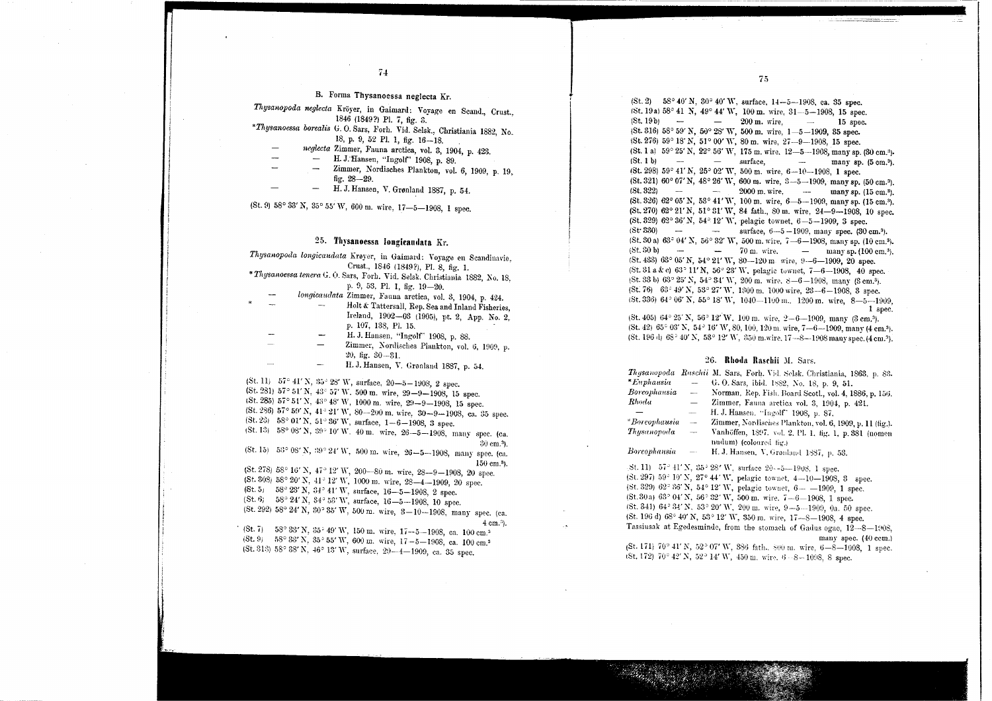$\overline{\phantom{a}}$ I i

.. ;

B. Forma Thysanoessa neglecta Kr.

*Thysanopoda neglecta* Kröyer, in Gaimard: Voyage en Seand., Crust., 1846 (1849?) PI. 7, fig. 3.

- *\*Thysanoessa borealis* U. O. Sars, .Forh. Vid. Selsk., Christiania 1882, No, 18, p. 9, 52 Pl. 1, fig.  $16-18$ .
	- *neglecta* Zimmer, Fanna arctica, vol. 3, 1904, p. 423.
		- H. J.Hansen, "lngolf' 1908, p. 89.
		- Zimmer, Nordisches Plankton, vol. 6, 1909, p. 19,<br>fig. 28—29.
			- H. J. Hansen, V. Grønland 1887, p. 54.

(St. 9) 58° 33' N, 35° 55' W, 600 m. wire, 17-5-1908, 1 spec.

#### 25. Thysanoessa longieaudata Kr.

*Thysanopoda longicaudata* Krøyer, in Gaimard: Voyage en Scandinavie, Crust., 1846 (l849?), PI. 8, fig. 1.

\* *Thysanoessa tenera* G. O. Sars, Forh. Vid. Selsk. Christiania 1882, No. 18. p. 0, 53. PI. I, fig. 19-20.

*longicaudata Zimmer, Fauna arctica, vol. 3, 1904, p. 424.* 

- Holt & Tattersall, Rep. Sea and Inland Fisheries, Ireland, 1902-03 (1905), pt. 2, App. No.2, p. 107, 138, PI. 15.
- H. J. Hansen. "Ingolf" 1908, p. 88.
- Zimmer, Nordisches Plankton, vol. 6, 1909, p. 20, fig. 30 --31.
- H. J. Hansen, Y. Gronland 1887, p. 54.

 $(5t. 11)$  57° 41' N, 35° 28' W, surface, 20-5-1908, 2 spec. (St. 281) 57° 51' N, 43' 57' W. <sup>500</sup> m. wire, 29-0-1908, <sup>15</sup> spec. (St. 285) 57° 51' N, 43° 48' W, 1000 m. wire, 29-9-1908, 15 spec. (St. 286)  $57^{\circ}$  59' N,  $41^{\circ}$  21' W,  $80-200$  m. wire,  $30-9-1908$ , ca. 35 spec.  $(St. 23)$  58° 01' N, 51° 36' W, surface, 1-6-1908, 3 spec.  $(5t. 13)$  58° 08' N, 39° 10' W. 40 m. wire, 26-5-1908, many spec. (ca.

130 cm.<sup>3</sup>). (St. 15) 5';30 OS' N, ':9° 24' W, 500 m. wire, 26-5-1908, many spec. (ca.

 $150 \text{ cm}$ .<sup>3</sup>). (St. 278)  $58^{\circ}$  16' N,  $47^{\circ}$  12' W, 200-80 m. wire, 28--9-1908, 20 spec.  $(St. 308) 58° 20' N$ ,  $41° 12' W$ , 1000 m. wire,  $28-4-1909$ , 20 spec.  $(St. 5)$  58° 23' N, 34° 41' W, surface, 16-5-1908, 2 spec.  $(St. 6)$  58°  $24'$  N, 34° 53' W, surface, 16-5-1908, 10 spec.  $(5t. 292)$  58° 24' N, 30° 35' W, 500 m. wire, 3-10--1908, many spec. (ca.

(St. 7) 58° 33′N, 35° 49′W, 150 m. wire, 17—5—1908, ca. 100 cm.<sup>3</sup>  $(8t. 9)$  58°  $33'$  N,  $35° 55'$  W, 600 m. wire,  $17-5-1908$ , ca. 100 cm.<sup>3</sup>  $($ St. 313)  $58^{\circ}$  38' N,  $46^{\circ}$  13' W, surface, 29- $-4-1909$ , ca. 35 spec.

 $(St. 2)$  58° 40' N, 30° 40' W, surface, 14-5-1908, ca. 35 spec. 1St. 19a) 58° 41 N, 49° 44' W, 100 m. wire, 31--5-1908, 15 spec.  $(8t.19b)$  - 200 m. wire, - 15 spec.  $($ St. 316) 58° 59' N, 50° 28' W, 500 m, wire,  $1 - 5 - 1909$ , 35 spec.  $1$ St. 276) 59° 18' N, 51° 00' W, 80 m. wire, 27---9-1908, 15 spec. (St. 1 a)  $59^{\circ} 25'$  N,  $22^{\circ} 56'$  W,  $175$  m, wire,  $12 - 5 - 1908$ , many sp.  $(30 \text{ cm.})$ .<br>
(St. 1 b) – surface. – many sp.  $(5 \text{ cm.})$  $(St. 1 b)$   $-$  surface,  $18t. 2981 59° 41' N$ ,  $25° 02' W$ ,  $500 m$ . wire,  $6-10-1908$ , 1 spec. (St. 321)  $60^{\circ}$  07' N,  $48^{\circ}$  26' W,  $600$  m, wire,  $3-5-1909$ , many sp. (50 cm.<sup>3</sup>). (St. 322)  $2000 \text{ m}$ , wire.  $\text{many sp. (15 cm.3)}$ . (St. 3261 62° 05'N, 53° 41'W, 100 m. wire, 6-5-1909, manysp. (15 em.'). (St. 270) 62° 21' N, 51° 31' W, 84 fath., 80 m, wire, 24-9-1908, 10 spec. (St. 329) 62° 36' N, 54° 12' W, pelagic townet,  $6-5-1909$ , 3 spec.  $(5t. 330)$  - surface,  $6-5-1909$ , many spec.  $(30 \text{ cm.}^3)$ .  $(5t, 30 \text{ a})$  63° 04' N, 56° 32' W, 500 m, wire, 7-6-1908, many sp. (10 cm.<sup>3</sup>).  $(5t.30 \text{ b})$  - 70 m. wire. - many sp.  $(100 \text{ cm.}^3)$ .  $1$ (St. 433) 63° 05' N, 54° 21' W, 80-120 m wire, 9-6-1909, 20 spec. (St. 31 a & c)  $63^{\circ}$  11' N,  $56^{\circ}$  23' W, pelagic townet,  $7-6-1908$ , 40 spec.  $(5t.33 b) 63° 25' N$ ,  $54° 34' W$ ,  $200 m$ , wire,  $8-6-1908$ , many  $(3 cm^3)$ .  $($ St. 76) 63° 49' N, 53° 27' W, 1300 m, 1000 wire, 23-6-1908, 3 spec.  $(5t.336)$   $64°06'$  N,  $55°18'$  W,  $1040-1100$  m,  $1200$  m, wire,  $8-5-1909$ , 1 spec.

 $(5t.405)$   $64^{\circ}$   $25'$  N,  $56^{\circ}$   $12'$  W,  $100$  m. wire,  $2-6-1909$ , many  $(3 \text{ cm.}^3)$ .  $(St. 42) 65^{\circ} 03' N$ ,  $54^{\circ} 16' W$ ,  $80$ ,  $100$ ,  $120$  m. wire,  $7-6-1909$ , many (4 cm.<sup>3</sup>). (St. 196 d) 68° 40' N, 53° 12' W, 350 m wire. 17-8-1908 many spec. (4 cm.<sup>3</sup>).

#### 26. Rhoda Raschii M. Sars.

|               |                          | Thysanopoda Raschii M. Sars, Forh. Vid. Selsk. Christiania, 1863, p. 83.        |
|---------------|--------------------------|---------------------------------------------------------------------------------|
| $*E$ uphausia |                          | G. O. Sars, ibid. 1882, No. 18, p. 9, 51.                                       |
| Boreophausia  | $\overline{\phantom{m}}$ | Norman, Rep. Fish. Board Scotl., vol. 4, 1886, p. 156.                          |
| Rhoda         | $\qquad \qquad -$        | Zimmer, Fauna arctica vol. 3, 1904, p. 421.                                     |
|               | $\overline{\phantom{a}}$ | H. J. Hansen, "Ingolf" 1908, p. 87.                                             |
| *Boreophausia | $\overline{\phantom{m}}$ | Zimmer, Nordisches Plankton, vol. 6, 1909, p. 11 (fig.).                        |
| Thusanopoda   | $\overline{\phantom{a}}$ | Vanhöffen, 1897. vol. 2. Pl. 1. fig. 1, p. 381 (nomen<br>nudum) (coloured fig.) |
| Boreophausia  | $-\cdot$                 | H. J. Hansen, V. Grønland 1887, p. 53.                                          |

St. 11)  $57° 41'$  N,  $35° 28'$  W, surface 20--5--1908, 1 spec. (St. 297) 59° 10' N, 27° 44' W, pelagic townet, 4-10-1908, 3 spec. (St. 329)  $62^{\circ}$  36' N, 54° 12' W, pelagic townet, 6- -1909, 1 spec. (St.30a)  $63^{\circ}$  04' N,  $56^{\circ}$  32' W,  $500$  m, wire,  $7-6-1908$ , 1 spec. *(St.* 341) 64° 34' N. 53° 20' W. 200 m. wire, 9-5--1909, Oa. 50 spec. (St. 196 d)  $68^{\circ}$  40' N,  $53^{\circ}$  12' W,  $350$  m. wire,  $17-8-1908$ , 4 spec. Tassiusak at Egedesminde, from the stomach of Gadus ogac,  $12-8-1908$ , many spec. (40 cem.)

 $1$ St. 171) 70° 41' N, 52° 07' W, 386 fath..., 500 m, wire, 6-8-1008, 1 spec. 1St, 172) 70° 42' N, 52° 14' W, 450 m, wire,  $6 - 8 - 1098$ , 8 spec.

 $\mathcal{L}^{(n)}$  ,  $\mathcal{L}^{(n)}$  ,  $\mathcal{L}^{(n)}$  ,  $\mathcal{L}^{(n)}$  ,  $\mathcal{L}^{(n)}$  ,  $\mathcal{L}^{(n)}$  ,  $\mathcal{L}^{(n)}$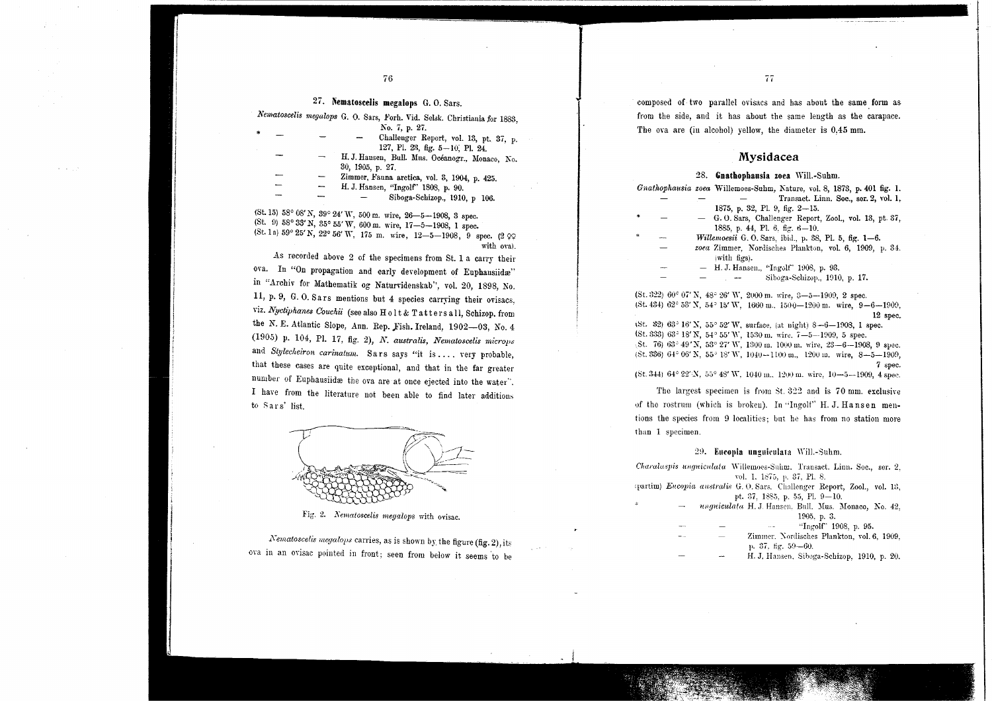#### 27. Nematoseelis megalops G. O. Sars.

|  |  |  |  | Nematoscelis megalops G. O. Sars, Forh. Vid. Selsk. Christiania for 1883, |  |
|--|--|--|--|---------------------------------------------------------------------------|--|
|  |  |  |  |                                                                           |  |

|  | No. 7, p. 27.                                   |
|--|-------------------------------------------------|
|  | Challenger Report, vol. 13, pt. 37, p.          |
|  | 127, Pl. 23, fig. 5-10, Pl. 24,                 |
|  | H. J. Hansen, Bull. Mus. Océanogr., Monaco, No. |
|  | 30, 1905, p. 27.                                |
|  | Zimmer, Fauna arctica, vol. 3, 1904, p. 425.    |
|  | H. J. Hansen, "Ingolf" 1808, p. 90.             |
|  | Siboga-Schizop., 1910, p 106.                   |

 $(5t. 15)$  58° 08' N,  $39° 24'$  W,  $500$  m. wire,  $26-5-1908$ , 3 spec.<br> $(8t. 9)$  58° 33' N,  $35° 55'$  W,  $600$  m. wire,  $17-5-1908$ , 1 spec. (St. 1a)  $59^{\circ}$   $25'$  N,  $22^{\circ}$  56' W, 175 m. wire, 12-5-1908, 9 spec. (2  $\circ$ with oval.

As recorded above 2 of the specimens from St. 1 a carry their ova. In "On propagation and early development of Euphausiidæ" in "Archiv for Mathematik og Naturvidenskab", vol. 20, 1898, No. 11, p. 9, G. O. Sars mentions but 4 species carrying their ovisacs, viz. *Nyctiphanes Couchii* (see also Holt & Tatters all, Schizop. from the N. E. Atlantic Slope, Ann. Rep. Fish. Ireland, 1902-03, No. 4 (1905) p. 104, Pl. 17, fig. 2), *N. australis, Nematoscelis microps* and *Stylecheiron carinatum*. Sars says "it is ... . very probable, that these cases are quite exceptional, and that in the far greater number of Euphausiidæ the ova are at once ejected into the water". I have from the literature not been able to find later additions to Sars' list.

Fig. 2. *Nematoscelis megalops* with ovisac.

*Nematoscelis megalops* carries, as is shown by the figure (fig. 2), its ova in an ovisac pointed in front; seen from below it seems to be composed of two parallel ovisacs and has abont the same. form as from the side, and it has about the same length as the carapace. The ova are (in alcohol) yellow, the diameter is 0,45 mm.

#### Mysidacea

#### 28. Gnathophausia zoea Will.-Suhm.

|    | Gnathophausia zoea Willemoes-Suhm, Nature, vol. 8, 1873, p. 401 fig. 1. |
|----|-------------------------------------------------------------------------|
|    | Transact. Linn. Soc., ser. 2, vol. 1.                                   |
|    | 1875, p. 32, Pl. 9, fig. 2-15.                                          |
|    | - G.O. Sars, Challenger Report, Zool., vol. 13, pt. 37,                 |
|    | 1885, p. 44, Pl. 6, fig. $6-10$ .                                       |
| -- | Willemoesii G. O. Sars, ibid., p. 38, Pl. 5, fig. 1-6.                  |
|    | zoea Zimmer, Nordisches Plankton, vol. 6, 1909, p. 34.                  |
|    | (with figs).                                                            |
|    | - H.J. Hansen., "Ingolf" 1908, p. 93.                                   |
|    | Siboga-Schizop., 1910, p. 17.                                           |
|    |                                                                         |

(St. 322) 60° 07' N, 48° 26' W, 2000 m. wire, 3-5-1909, 2 spec.  $(5t. 434)$   $62^\circ$  53' N,  $54^\circ$  15' W,  $1660$  m.,  $1500-1200$  m. wire,  $9-6-1909$ , 12 spec.  $(St. 32) 63^{\circ} 16' X$ ,  $55^{\circ} 52' W$ , surface, (at night)  $8-6-1908$ , 1 spec. (St. 333) 63° 18' N, 54° 55' W, 1530 m, wire, 7-5-1909, 5 spec.

St. 761 63" 49'X, 53' 27' W, 1300 m. 1000 m. wire, 23-6-1908, 9 svec. (St. 336)  $64^{\circ}$  06' N,  $55^{\circ}$  18' W,  $1040 - 1100$  m.,  $1200$  m. wire,  $8 - 5 - 1909$ , 7 spec.

(St. 344)  $64^{\circ}$  22"N,  $55^{\circ}$  48" W. 1040 m., 1200 m. wire, 10-5-1909, 4 spec.

The largest specimen is from  $St. 322$  and is 70 mm. exclusive of thc rostrum (which is brokeu). In "Ingolf" H. J. Hansen mentions the species from 9 localities; but he has from no station more thau 1 specimen.

#### 29. Eucopia unguiculata Will.-Suhm.

*Charalaspis unguiculata* Willemoes-Suhm. Transact. Linn. Soc., ser. 2. vol. 1. 1875. p. 37. Pl. 8.

- (partim) *Eucopia australis* G. O. Sars. Challenger Report, Zool., vol. 13, pt. 37, 1885, p. 55, Pl. 9-10.
	- *ungniculata* H. J. Hansen, Bull. Mus. Monaco, No. 42, 1905. p. 3.

| <b>MAG</b>               |   | "Ingolf" 1908, p. 95.<br>$\cdots$          |
|--------------------------|---|--------------------------------------------|
| $\overline{\phantom{a}}$ | _ | Zimmer, Nordisches Plankton, vol. 6, 1909, |
|                          |   | $\mu$ , 37, fig. 59-60.                    |
|                          |   | H. J. Hansen, Siboga-Schizop, 1910, p. 20, |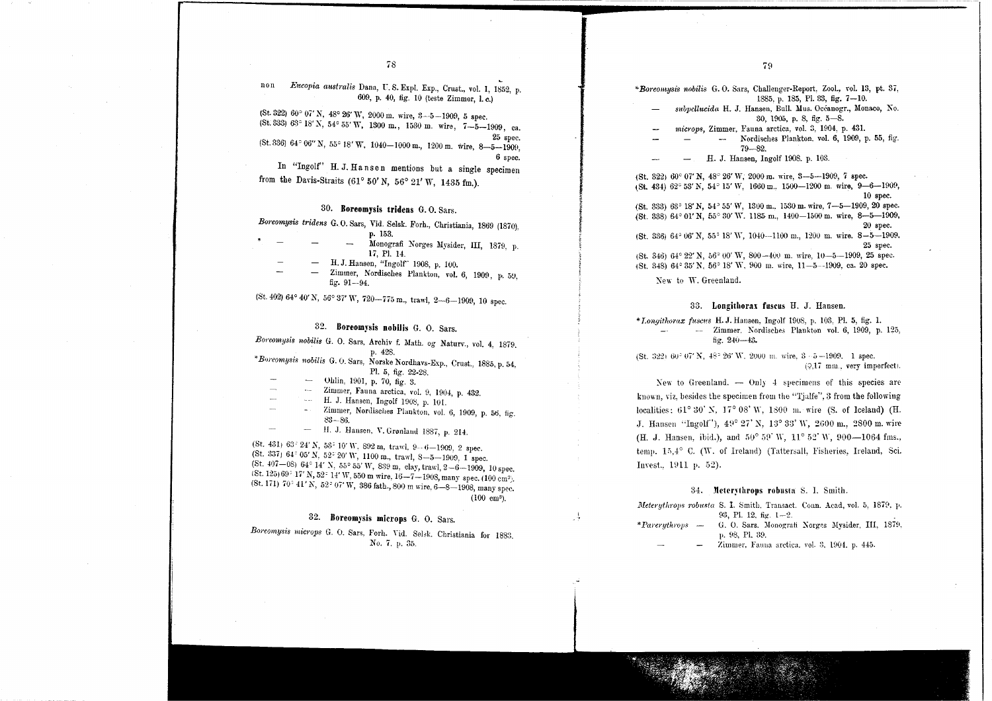non *Eucopia australis* Dana, U.S. Expl. Exp., Crust., vol. 1, 1852, p. **1998** \*Boreomysis nobilis G. O. Sars, Challenger-Report. Zool., vol. 13, pt. 37, 609, p. 40, fig. 10 (teste Zimmer, I. c.)

 $($ St. 322)  $60^{\circ}$   $07'$  N,  $48^{\circ}$   $26'$  W,  $2000$  m, wire,  $3-5-1909$ , 5 spec. (St. 333) 63° 18'N, 54° 55'W, <sup>1300</sup> m., <sup>1530</sup> m. wire, 7-5-1909, ca.  $(5t.336) 64°06''$ N,  $55°18'$ W,  $1040-1000$ m.,  $1200$ m. wire,  $8-5-1909$ ,

6 spec.

~ ~ *reserve* 

-4

In "Ingolf" H. J. Hansen mentions but a single specimen from the Davis-Straits (61° 50' N, 56° 21' W, 1435 fm.).

#### 30. Boreomysis tridens G. O. Sars.

*Bm'eomysis tridens* G.O. Sars, Vid. Selsk. Forh., Christiania, 1869 (1870), p. 153.

- 1\1onografi Norges l\Iysider, III, 1879, p. 17, PI. 14.
- H. J. Hansen, "Ingolf' 1908, p. 100.
- Zimmer, Nordisches Plankton, vol. 6, 1909, p. 59, fig. 91--94.

 $1$ (St. 402) 64° 40' N, 56° 37' W, 720-775 m., trawl, 2-6-1909, 10 spec.

#### 32. Boreomysis nobilis G. O. Sars.

*Boreomysis nobilis* G. O. Sars, Archiv f. Math. og Naturv., vol. 4, 1879. p. 428.

\**BOi'eomys;s nobilis* G. O. Sars, Norske Nordhavs-Exp., Crust., 1885. p. 54, PI. 5, fig. 22-28.

- Ohlin, 1901, p. 70, fig. 3.
- Zimmer, Fauna arctica, vol. 9, 1904, p. 432.
- H. J. Hansen, Ingolf 1908, p. 101.
- Zimmer, Nordisches Plankton, vol. 6, 1909, p. 56, fig. 83-86.
- H. J. Hansen, V. Grønland 1887, p. 214.

(St. 431) 63° 24' N, 53° 10' W, 892 m, trawl. 9--6-1909, 2 spec. (St. 337)  $64^{\circ}$  05' N, 52° 20' W, 1100 m., trawl, 8-5-1909, 1 spec. (St. 407-08) 64° 14' N, 55° 55' W, 839 m, clay, trawl, 2-6-1909, 10 spec.  $(8t. 125)69^{\circ}$  17' N, 52° 14' W, 550 m wire, 16-7-1908, many spec. (100 cm<sup>3</sup>). (8t. 171) 70° 41' N, 52° 07' W, 386 fath., 800 m wire, 6-8-1908, many spec. (100 cm').

## 32. Boreomysis microps G. O. Sars.

Boreomysis microps G. O. Sars, Forh. Vid. Selsk. Christiania for 1883. No.7. p. 35.

1885. p. 185, PI. 33, fig. 7-10. *sltbpcllucida* H. J. Hansen, Bull. 1\1us.Oceauogr., ~Ionaco, No.

- 30, 1905, p. 8, fig. 5-8.
- *microps,* Zimmer. Fauna arctica, vol. 3, 1904, p. 431.
- - Nordisches Plankton. vol. 6, 1909, p. 55, fig. 79-82.
- H. J. Hansen, Ingolf 1908. p. 103.

 $($ St. 322)  $60^{\circ}$  07' N,  $48^{\circ}$  26' W, 2000 m. wire, 3--5--1909, 7 spec.  $1$ St. 434)  $62^{\circ}$  53' N, 54° 15' W, 1660 m., 1500-1200 m. wire, 9-6-1909, 10 spec.  $(St. 333)$   $63^{\circ}$  18' N,  $54^{\circ}$  55' W, 1300 m, 1530 m, wire,  $7-5-1909$ , 20 spec.  $(St. 338) 64°01' N, 55°30' W, 1185 m, 1400-1500 m$ . wire, 8-5-1909, 20 spec. (St. 3361 64' 06' N, 55° 18' W, 1040-1100 m., 1200 m. wire. 8-5-1909.

25 spec. (St. 346) 64° 22' N, 56° 00' W, 800-401) m. wire, 10-5-1909, <sup>25</sup> spec.

1St. 348) 64° 35' N, 56° 18' W. 900 m. wire, 11-5--1909, ca. 20 spec.

New to W. Greenland.

.,' .C..,':

#### 33. Longilhorax fuscus H. J. Hansen.

*\*Longithorax fuscus* H. J. Hansen, Ingolf 1908, p. 103, Pl. 5, fig. 1999. -- -- Zimmer. Nonlisches Plankton vol. 6, 1909, p. 125, fig. 240-43.

 $(St, 322)$  60°  $07'$  N,  $48^{\circ}$  26' W, 2000 m, wire,  $3-5-1909$ . 1 spec.  $(2.17$  mm., very imperfect).

New to Greenland.  $-$  Only 4 specimens of this species are known, viz, besides the specimen from the "Tjalfe", 3 from the following localities:  $61^{\circ}30'$  N,  $17^{\circ}08'$  W,  $1800\,$  m. wire (S. of Iceland) (H J. Hansen "Ingolf"),  $49^{\circ}$   $27'$  N,  $13^{\circ}$   $33'$  W,  $2600$  m,  $2800$  m, wire (H. J. Hansen, ibid.), and  $50^{\circ} 59'$  W,  $11^{\circ} 52'$  W,  $900-1064$  fms., temp. 15,4° C. (W. of Ireland) (Tattersall, Fisheries, Ireland, Sci. Invest., 1911 p. 52).

#### 34. Meterythrops robusta S. I. Smith.

|                                                  |                            | Meterythrops robusta S. I. Smith, Transact. Conn. Acad, vol. 5, 1879, p. |
|--------------------------------------------------|----------------------------|--------------------------------------------------------------------------|
|                                                  | $93,$ Pl. 12, fig. $1-2$ . |                                                                          |
| <i>*Pareruthrops</i><br>$\overline{\phantom{a}}$ |                            | G. O. Sars. Monografi Norges Mysider, III, 1879.                         |
|                                                  | p. 98, Pl. 39.             |                                                                          |

Zimmer. Fauna arctica. vol. 3, 1904. p. 445.

10. Januar 1940 - 1940 - 1940 - 1940 - 1940 - 1940 - 1940 - 1940 - 1940 - 1940 - 1940 - 1940 - 1940 - 1940 - 1<br>1940 - 1940 - 1940 - 1940 - 1940 - 1940 - 1940 - 1940 - 1940 - 1940 - 1940 - 1940 - 1940 - 1940 - 1940 - 1940<br>1

:,':-:.;<-:.,--, ',,' -',

 $78$  79